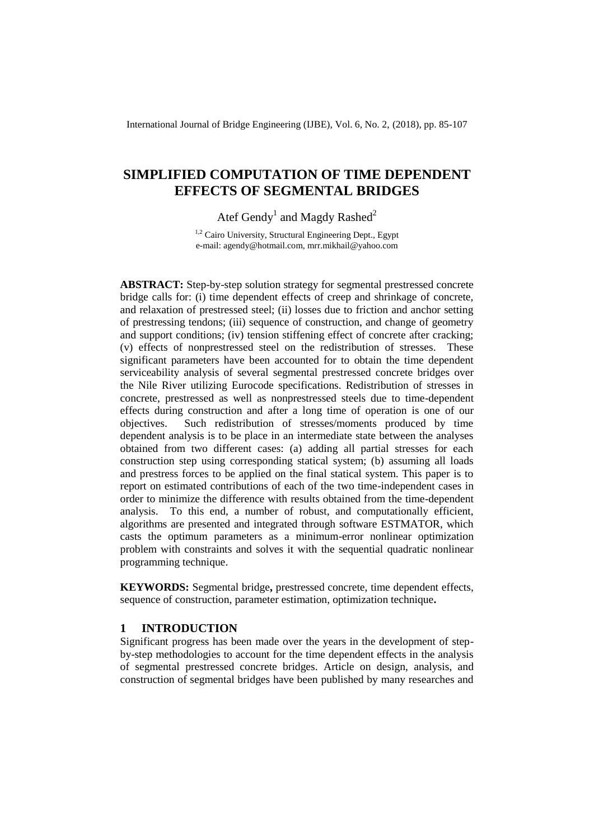International Journal of Bridge Engineering (IJBE), Vol. 6, No. 2, (2018), pp. 85-107

# **SIMPLIFIED COMPUTATION OF TIME DEPENDENT EFFECTS OF SEGMENTAL BRIDGES**

Atef Gendy<sup>1</sup> and Magdy Rashed<sup>2</sup>

<sup>1,2</sup> Cairo University, Structural Engineering Dept., Egypt e-mail: agendy@hotmail.com, mrr.mikhail@yahoo.com

**ABSTRACT:** Step-by-step solution strategy for segmental prestressed concrete bridge calls for: (i) time dependent effects of creep and shrinkage of concrete, and relaxation of prestressed steel; (ii) losses due to friction and anchor setting of prestressing tendons; (iii) sequence of construction, and change of geometry and support conditions; (iv) tension stiffening effect of concrete after cracking; (v) effects of nonprestressed steel on the redistribution of stresses. These significant parameters have been accounted for to obtain the time dependent serviceability analysis of several segmental prestressed concrete bridges over the Nile River utilizing Eurocode specifications. Redistribution of stresses in concrete, prestressed as well as nonprestressed steels due to time-dependent effects during construction and after a long time of operation is one of our objectives. Such redistribution of stresses/moments produced by time dependent analysis is to be place in an intermediate state between the analyses obtained from two different cases: (a) adding all partial stresses for each construction step using corresponding statical system; (b) assuming all loads and prestress forces to be applied on the final statical system. This paper is to report on estimated contributions of each of the two time-independent cases in order to minimize the difference with results obtained from the time-dependent analysis. To this end, a number of robust, and computationally efficient, algorithms are presented and integrated through software ESTMATOR, which casts the optimum parameters as a minimum-error nonlinear optimization problem with constraints and solves it with the sequential quadratic nonlinear programming technique.

**KEYWORDS:** Segmental bridge**,** prestressed concrete, time dependent effects, sequence of construction, parameter estimation, optimization technique**.**

# **1 INTRODUCTION**

Significant progress has been made over the years in the development of stepby-step methodologies to account for the time dependent effects in the analysis of segmental prestressed concrete bridges. Article on design, analysis, and construction of segmental bridges have been published by many researches and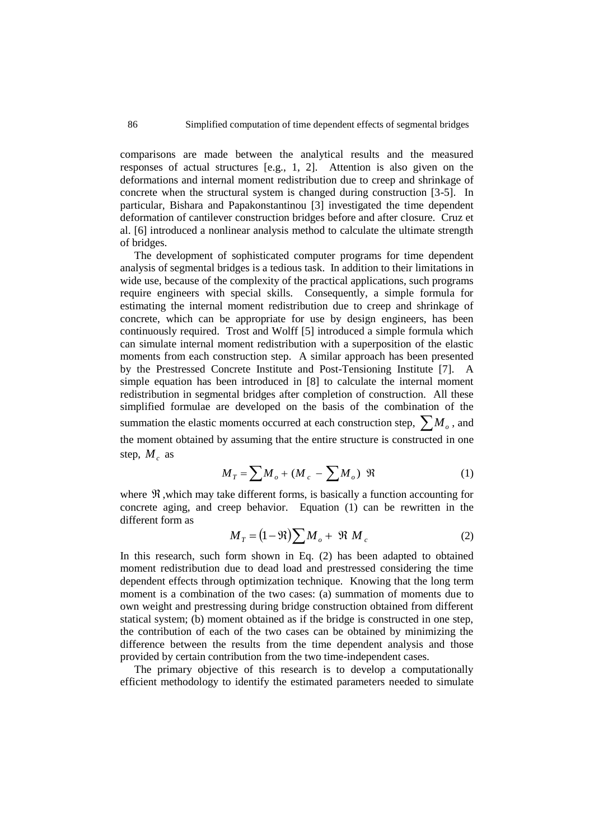comparisons are made between the analytical results and the measured responses of actual structures [e.g., 1, 2]. Attention is also given on the deformations and internal moment redistribution due to creep and shrinkage of concrete when the structural system is changed during construction [3-5]. In particular, Bishara and Papakonstantinou [3] investigated the time dependent deformation of cantilever construction bridges before and after closure. Cruz et al. [6] introduced a nonlinear analysis method to calculate the ultimate strength of bridges.

The development of sophisticated computer programs for time dependent analysis of segmental bridges is a tedious task. In addition to their limitations in wide use, because of the complexity of the practical applications, such programs require engineers with special skills. Consequently, a simple formula for estimating the internal moment redistribution due to creep and shrinkage of concrete, which can be appropriate for use by design engineers, has been continuously required. Trost and Wolff [5] introduced a simple formula which can simulate internal moment redistribution with a superposition of the elastic moments from each construction step. A similar approach has been presented by the Prestressed Concrete Institute and Post-Tensioning Institute [7]. simple equation has been introduced in [8] to calculate the internal moment redistribution in segmental bridges after completion of construction. All these simplified formulae are developed on the basis of the combination of the summation the elastic moments occurred at each construction step,  $\sum M_o$  , and the moment obtained by assuming that the entire structure is constructed in one step,  $M_c$  as

$$
M_T = \sum M_o + (M_c - \sum M_o) \mathcal{R}
$$
 (1)

where  $\Re$ , which may take different forms, is basically a function accounting for concrete aging, and creep behavior. Equation (1) can be rewritten in the different form as

$$
M_T = (1 - \Re) \sum M_o + \Re M_c \tag{2}
$$

In this research, such form shown in Eq. (2) has been adapted to obtained moment redistribution due to dead load and prestressed considering the time dependent effects through optimization technique. Knowing that the long term moment is a combination of the two cases: (a) summation of moments due to own weight and prestressing during bridge construction obtained from different statical system; (b) moment obtained as if the bridge is constructed in one step, the contribution of each of the two cases can be obtained by minimizing the difference between the results from the time dependent analysis and those provided by certain contribution from the two time-independent cases.

The primary objective of this research is to develop a computationally efficient methodology to identify the estimated parameters needed to simulate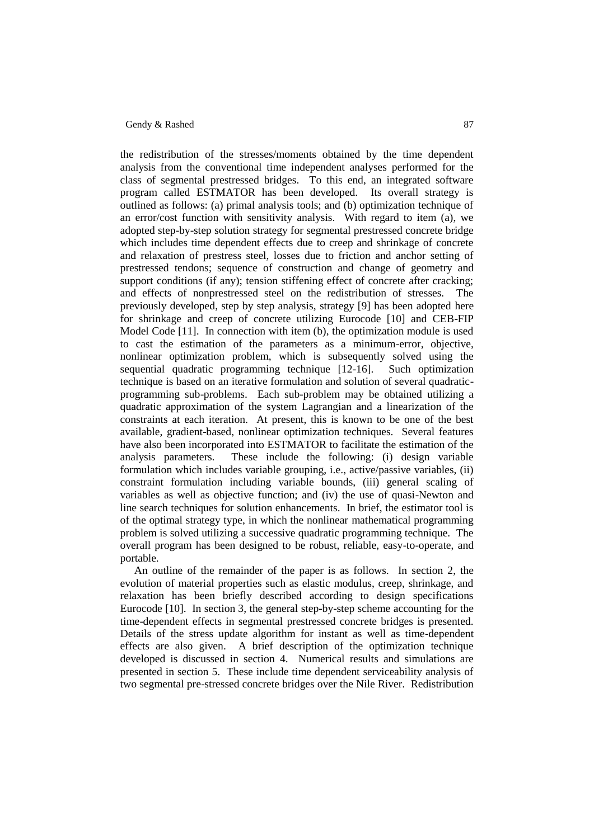the redistribution of the stresses/moments obtained by the time dependent analysis from the conventional time independent analyses performed for the class of segmental prestressed bridges. To this end, an integrated software program called ESTMATOR has been developed. Its overall strategy is outlined as follows: (a) primal analysis tools; and (b) optimization technique of an error/cost function with sensitivity analysis. With regard to item (a), we adopted step-by-step solution strategy for segmental prestressed concrete bridge which includes time dependent effects due to creep and shrinkage of concrete and relaxation of prestress steel, losses due to friction and anchor setting of prestressed tendons; sequence of construction and change of geometry and support conditions (if any); tension stiffening effect of concrete after cracking; and effects of nonprestressed steel on the redistribution of stresses. The previously developed, step by step analysis, strategy [9] has been adopted here for shrinkage and creep of concrete utilizing Eurocode [10] and CEB-FIP Model Code [11]. In connection with item (b), the optimization module is used to cast the estimation of the parameters as a minimum-error, objective, nonlinear optimization problem, which is subsequently solved using the sequential quadratic programming technique [12-16]. Such optimization technique is based on an iterative formulation and solution of several quadraticprogramming sub-problems. Each sub-problem may be obtained utilizing a quadratic approximation of the system Lagrangian and a linearization of the constraints at each iteration. At present, this is known to be one of the best available, gradient-based, nonlinear optimization techniques. Several features have also been incorporated into ESTMATOR to facilitate the estimation of the analysis parameters. These include the following: (i) design variable formulation which includes variable grouping, i.e., active/passive variables, (ii) constraint formulation including variable bounds, (iii) general scaling of variables as well as objective function; and (iv) the use of quasi-Newton and line search techniques for solution enhancements. In brief, the estimator tool is of the optimal strategy type, in which the nonlinear mathematical programming problem is solved utilizing a successive quadratic programming technique. The overall program has been designed to be robust, reliable, easy-to-operate, and portable.

An outline of the remainder of the paper is as follows. In section 2, the evolution of material properties such as elastic modulus, creep, shrinkage, and relaxation has been briefly described according to design specifications Eurocode [10]. In section 3, the general step-by-step scheme accounting for the time-dependent effects in segmental prestressed concrete bridges is presented. Details of the stress update algorithm for instant as well as time-dependent effects are also given. A brief description of the optimization technique developed is discussed in section 4. Numerical results and simulations are presented in section 5. These include time dependent serviceability analysis of two segmental pre-stressed concrete bridges over the Nile River. Redistribution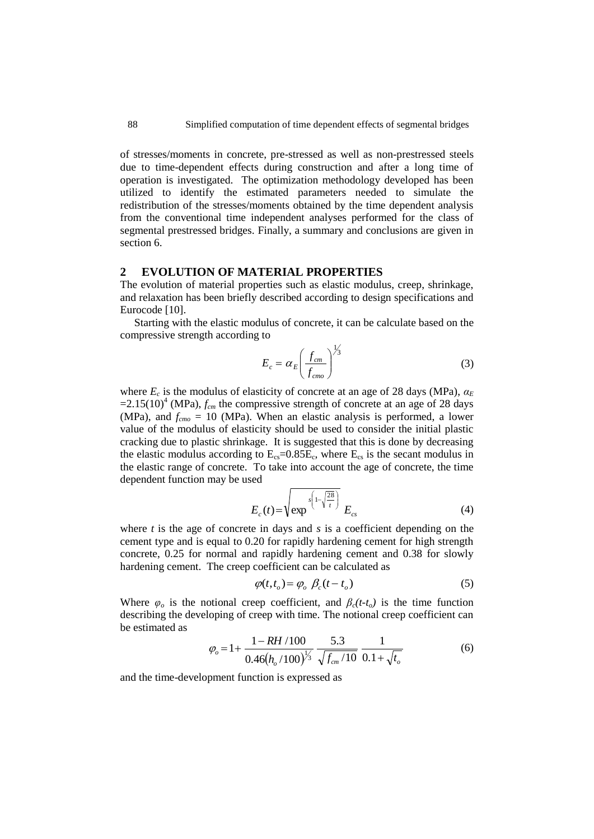of stresses/moments in concrete, pre-stressed as well as non-prestressed steels due to time-dependent effects during construction and after a long time of operation is investigated. The optimization methodology developed has been utilized to identify the estimated parameters needed to simulate the redistribution of the stresses/moments obtained by the time dependent analysis from the conventional time independent analyses performed for the class of segmental prestressed bridges. Finally, a summary and conclusions are given in section 6.

# **2 EVOLUTION OF MATERIAL PROPERTIES**

The evolution of material properties such as elastic modulus, creep, shrinkage, and relaxation has been briefly described according to design specifications and Eurocode [10].

Starting with the elastic modulus of concrete, it can be calculate based on the compressive strength according to

$$
E_c = \alpha_E \left(\frac{f_{cm}}{f_{cm}}\right)^{\frac{1}{3}}
$$
 (3)

where  $E_c$  is the modulus of elasticity of concrete at an age of 28 days (MPa),  $\alpha_E$  $=2.15(10)^4$  (MPa),  $f_{cm}$  the compressive strength of concrete at an age of 28 days (MPa), and  $f_{\text{cmo}} = 10$  (MPa). When an elastic analysis is performed, a lower value of the modulus of elasticity should be used to consider the initial plastic cracking due to plastic shrinkage. It is suggested that this is done by decreasing the elastic modulus according to  $E_{cs}$ =0.85 $E_c$ , where  $E_{cs}$  is the secant modulus in the elastic range of concrete. To take into account the age of concrete, the time dependent function may be used

$$
E_c(t) = \sqrt{\exp^{s\left(1 - \sqrt{\frac{28}{t}}\right)}} E_{cs}
$$
 (4)

where *t* is the age of concrete in days and *s* is a coefficient depending on the cement type and is equal to 0.20 for rapidly hardening cement for high strength concrete, 0.25 for normal and rapidly hardening cement and 0.38 for slowly hardening cement. The creep coefficient can be calculated as

$$
\varphi(t, t_o) = \varphi_o \, \beta_c (t - t_o) \tag{5}
$$

Where  $\varphi$ <sub>*o*</sub> is the notional creep coefficient, and  $\beta_c(t-t_o)$  is the time function describing the developing of creep with time. The notional creep coefficient can be estimated as

$$
\varphi_o = 1 + \frac{1 - RH/100}{0.46(h_o/100)^{\frac{1}{3}}} \frac{5.3}{\sqrt{f_{cm}/10}} \frac{1}{0.1 + \sqrt{t_o}}
$$
(6)

and the time-development function is expressed as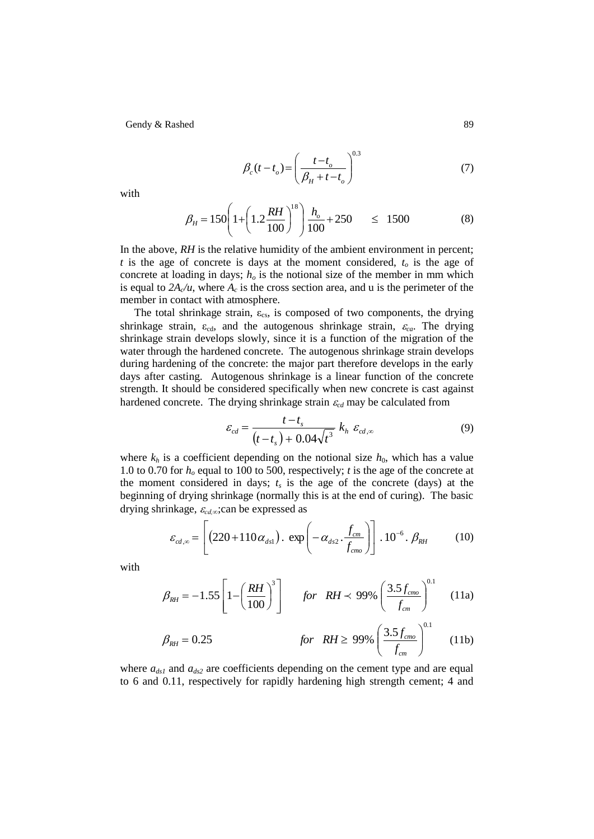$$
\beta_c(t - t_o) = \left(\frac{t - t_o}{\beta_H + t - t_o}\right)^{0.3} \tag{7}
$$

with

$$
\beta_H = 150 \left( 1 + \left( 1.2 \frac{RH}{100} \right)^{18} \right) \frac{h_o}{100} + 250 \qquad \leq \quad 1500 \tag{8}
$$

In the above, *RH* is the relative humidity of the ambient environment in percent; *t* is the age of concrete is days at the moment considered, *t<sup>o</sup>* is the age of concrete at loading in days;  $h<sub>o</sub>$  is the notional size of the member in mm which is equal to  $2A_c/u$ , where  $A_c$  is the cross section area, and u is the perimeter of the member in contact with atmosphere.

The total shrinkage strain,  $\varepsilon_{\rm cs}$ , is composed of two components, the drying shrinkage strain,  $\varepsilon_{cd}$ , and the autogenous shrinkage strain,  $\varepsilon_{ca}$ . The drying shrinkage strain develops slowly, since it is a function of the migration of the water through the hardened concrete. The autogenous shrinkage strain develops during hardening of the concrete: the major part therefore develops in the early days after casting. Autogenous shrinkage is a linear function of the concrete strength. It should be considered specifically when new concrete is cast against hardened concrete. The drying shrinkage strain  $\varepsilon_{cd}$  may be calculated from

$$
\varepsilon_{cd} = \frac{t - t_s}{(t - t_s) + 0.04\sqrt{t^3}} k_h \varepsilon_{cd,\infty}
$$
\n(9)

where  $k_h$  is a coefficient depending on the notional size  $h_0$ , which has a value 1.0 to 0.70 for *h<sup>o</sup>* equal to 100 to 500, respectively; *t* is the age of the concrete at the moment considered in days;  $t_s$  is the age of the concrete (days) at the beginning of drying shrinkage (normally this is at the end of curing). The basic drying shrinkage,  $\varepsilon_{cd,\infty}$ ;can be expressed as

$$
\varepsilon_{cd,\infty} = \left[ \left( 220 + 110 \alpha_{ds1} \right) . \exp \left( -\alpha_{ds2} . \frac{f_{cm}}{f_{cm0}} \right) \right] . 10^{-6} . \beta_{RH} \tag{10}
$$

with

$$
\beta_{RH} = -1.55 \left[ 1 - \left( \frac{RH}{100} \right)^3 \right] \quad \text{for} \quad RH < 99\% \left( \frac{3.5 f_{\text{cm0}}}{f_{\text{cm}}} \right)^{0.1} \tag{11a}
$$

$$
\beta_{RH} = 0.25 \qquad \qquad \text{for} \quad RH \ge 99\% \left(\frac{3.5 f_{\text{cm0}}}{f_{\text{cm}}}\right)^{0.1} \qquad (11b)
$$

where  $a_{ds1}$  and  $a_{ds2}$  are coefficients depending on the cement type and are equal to 6 and 0.11, respectively for rapidly hardening high strength cement; 4 and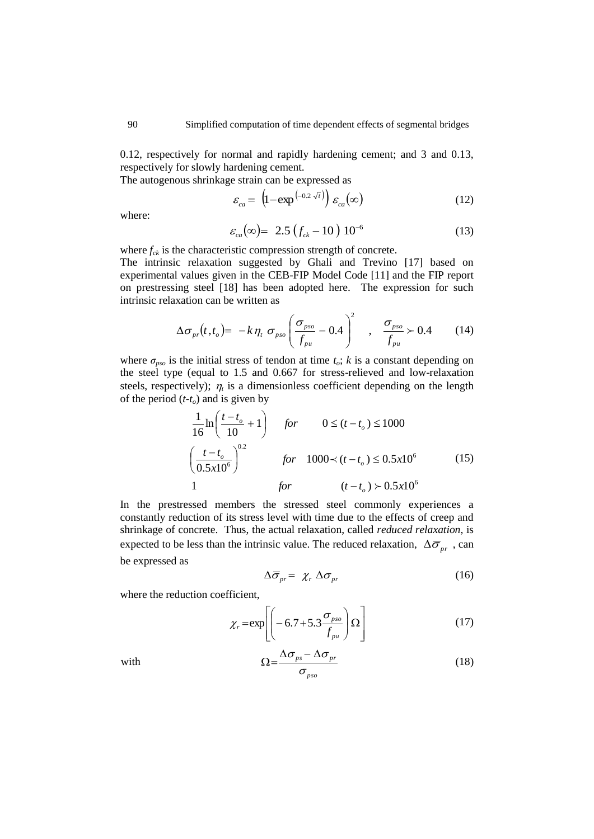0.12, respectively for normal and rapidly hardening cement; and 3 and 0.13, respectively for slowly hardening cement.

The autogenous shrinkage strain can be expressed as

$$
\varepsilon_{ca} = \left(1 - \exp^{\left(-0.2\sqrt{t}\right)}\right) \varepsilon_{ca}(\infty) \tag{12}
$$

where:

$$
\varepsilon_{ca}(\infty) = 2.5 \left( f_{ck} - 10 \right) 10^{-6} \tag{13}
$$

where  $f_{ck}$  is the characteristic compression strength of concrete. The intrinsic relaxation suggested by Ghali and Trevino [17] based on experimental values given in the CEB-FIP Model Code [11] and the FIP report on prestressing steel [18] has been adopted here. The expression for such intrinsic relaxation can be written as

$$
\Delta \sigma_{pr}(t,t_o) = -k \eta_t \sigma_{pso} \left( \frac{\sigma_{pso}}{f_{pu}} - 0.4 \right)^2 , \quad \frac{\sigma_{pso}}{f_{pu}} \succ 0.4 \quad (14)
$$

where  $\sigma_{pso}$  is the initial stress of tendon at time  $t_o$ ; *k* is a constant depending on the steel type (equal to 1.5 and 0.667 for stress-relieved and low-relaxation steels, respectively);  $\eta_t$  is a dimensionless coefficient depending on the length of the period  $(t-t<sub>o</sub>)$  and is given by

$$
\frac{1}{16} \ln \left( \frac{t - t_o}{10} + 1 \right) \quad \text{for} \quad 0 \le (t - t_o) \le 1000
$$
\n
$$
\left( \frac{t - t_o}{0.5x10^6} \right)^{0.2} \quad \text{for} \quad 1000 \prec (t - t_o) \le 0.5x10^6 \quad (15)
$$
\n
$$
1 \quad \text{for} \quad (t - t_o) \succ 0.5x10^6
$$

In the prestressed members the stressed steel commonly experiences a constantly reduction of its stress level with time due to the effects of creep and shrinkage of concrete. Thus, the actual relaxation, called *reduced relaxation*, is expected to be less than the intrinsic value. The reduced relaxation,  $\Delta \overline{\sigma}_{pr}$ , can be expressed as

$$
\Delta \overline{\sigma}_{pr} = \chi_r \Delta \sigma_{pr} \tag{16}
$$

where the reduction coefficient,

$$
\chi_r = \exp\left[ \left( -6.7 + 5.3 \frac{\sigma_{pso}}{f_{pu}} \right) \Omega \right]
$$
 (17)

$$
\Omega = \frac{\Delta \sigma_{ps} - \Delta \sigma_{pr}}{\sigma_{pso}} \tag{18}
$$

with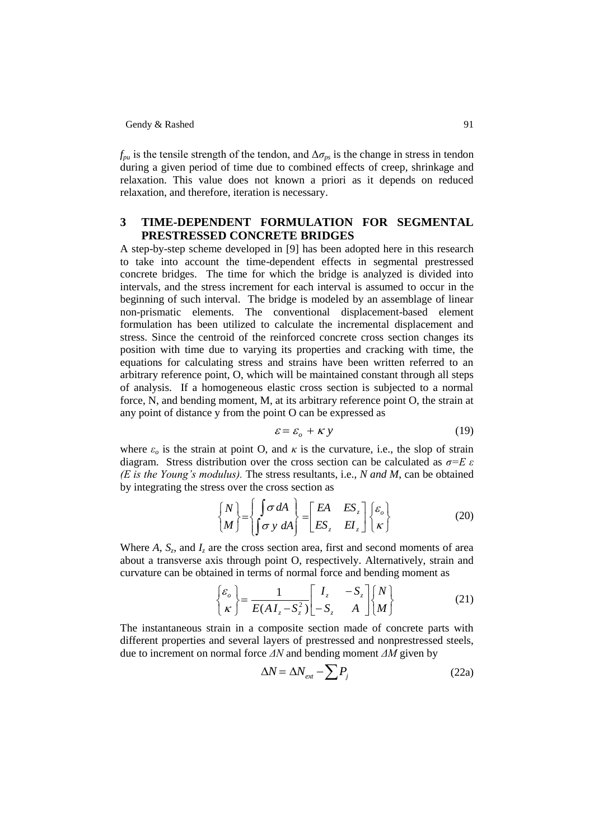$f_{\nu\mu}$  is the tensile strength of the tendon, and  $\Delta\sigma_{\nu s}$  is the change in stress in tendon during a given period of time due to combined effects of creep, shrinkage and relaxation. This value does not known a priori as it depends on reduced relaxation, and therefore, iteration is necessary.

# **3 TIME-DEPENDENT FORMULATION FOR SEGMENTAL PRESTRESSED CONCRETE BRIDGES**

A step-by-step scheme developed in [9] has been adopted here in this research to take into account the time-dependent effects in segmental prestressed concrete bridges. The time for which the bridge is analyzed is divided into intervals, and the stress increment for each interval is assumed to occur in the beginning of such interval. The bridge is modeled by an assemblage of linear non-prismatic elements. The conventional displacement-based element formulation has been utilized to calculate the incremental displacement and stress. Since the centroid of the reinforced concrete cross section changes its position with time due to varying its properties and cracking with time, the equations for calculating stress and strains have been written referred to an arbitrary reference point, O, which will be maintained constant through all steps of analysis. If a homogeneous elastic cross section is subjected to a normal force, N, and bending moment, M, at its arbitrary reference point O, the strain at any point of distance y from the point O can be expressed as

$$
\varepsilon = \varepsilon_o + \kappa y \tag{19}
$$

where  $\varepsilon$ <sub>o</sub> is the strain at point O, and  $\kappa$  is the curvature, i.e., the slop of strain diagram. Stress distribution over the cross section can be calculated as *σ=E ε (E is the Young's modulus).* The stress resultants, i.e., *N and M*, can be obtained by integrating the stress over the cross section as

$$
\begin{Bmatrix} N \\ M \end{Bmatrix} = \begin{Bmatrix} \int \sigma \, dA \\ \int \sigma \, y \, dA \end{Bmatrix} = \begin{bmatrix} EA & ES_z \\ ES_z & EI_z \end{bmatrix} \begin{Bmatrix} \varepsilon_o \\ \kappa \end{Bmatrix}
$$
 (20)

Where  $A$ ,  $S_z$ , and  $I_z$  are the cross section area, first and second moments of area about a transverse axis through point O, respectively. Alternatively, strain and curvature can be obtained in terms of normal force and bending moment as

$$
\begin{Bmatrix} \varepsilon_o \\ \kappa \end{Bmatrix} = \frac{1}{E(AI_z - S_z^2)} \begin{bmatrix} I_z & -S_z \\ -S_z & A \end{bmatrix} \begin{Bmatrix} N \\ M \end{Bmatrix}
$$
 (21)

The instantaneous strain in a composite section made of concrete parts with different properties and several layers of prestressed and nonprestressed steels, due to increment on normal force *ΔN* and bending moment *ΔM* given by

$$
\Delta N = \Delta N_{\text{ext}} - \sum P_j \tag{22a}
$$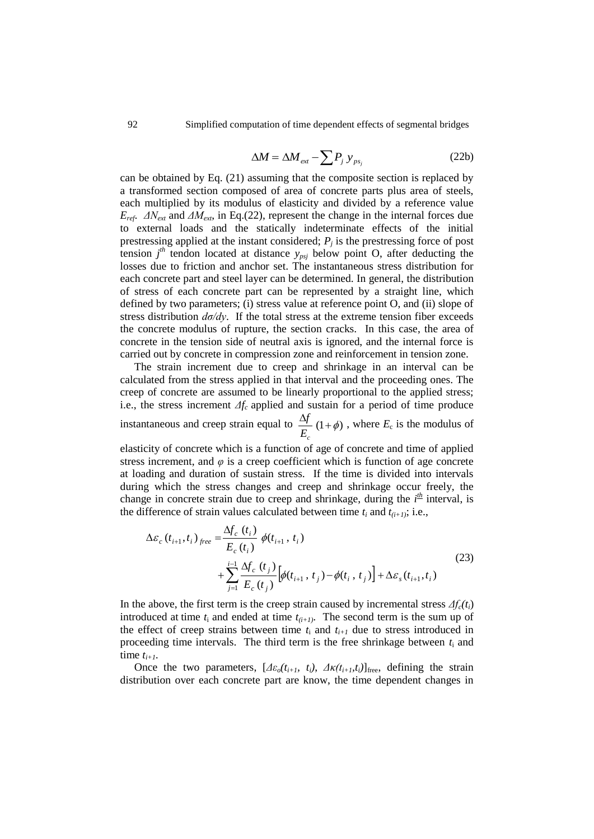$$
\Delta M = \Delta M_{\text{ext}} - \sum P_j \, y_{\text{ps}_j} \tag{22b}
$$

can be obtained by Eq. (21) assuming that the composite section is replaced by a transformed section composed of area of concrete parts plus area of steels, each multiplied by its modulus of elasticity and divided by a reference value  $E_{ref}$ .  $\Delta N_{ext}$  and  $\Delta M_{ext}$ , in Eq.(22), represent the change in the internal forces due to external loads and the statically indeterminate effects of the initial prestressing applied at the instant considered;  $P_j$  is the prestressing force of post tension  $j<sup>th</sup>$  tendon located at distance  $y_{psj}$  below point O, after deducting the losses due to friction and anchor set. The instantaneous stress distribution for each concrete part and steel layer can be determined. In general, the distribution of stress of each concrete part can be represented by a straight line, which defined by two parameters; (i) stress value at reference point O, and (ii) slope of stress distribution  $d\sigma/dy$ . If the total stress at the extreme tension fiber exceeds the concrete modulus of rupture, the section cracks. In this case, the area of concrete in the tension side of neutral axis is ignored, and the internal force is carried out by concrete in compression zone and reinforcement in tension zone.

The strain increment due to creep and shrinkage in an interval can be calculated from the stress applied in that interval and the proceeding ones. The creep of concrete are assumed to be linearly proportional to the applied stress; i.e., the stress increment *Δfc* applied and sustain for a period of time produce instantaneous and creep strain equal to  $\frac{\Delta f}{T}(1+\phi)$ *Ec*  $\frac{f}{f}(1+\phi)$ , where  $E_c$  is the modulus of

elasticity of concrete which is a function of age of concrete and time of applied stress increment, and  $\varphi$  is a creep coefficient which is function of age concrete at loading and duration of sustain stress. If the time is divided into intervals during which the stress changes and creep and shrinkage occur freely, the change in concrete strain due to creep and shrinkage, during the  $i<sup>th</sup>$  interval, is the difference of strain values calculated between time  $t_i$  and  $t_{(i+1)}$ ; i.e.,

$$
\Delta \varepsilon_c (t_{i+1}, t_i)_{free} = \frac{\Delta f_c (t_i)}{E_c (t_i)} \phi(t_{i+1}, t_i) + \sum_{j=1}^{i-1} \frac{\Delta f_c (t_j)}{E_c (t_j)} [\phi(t_{i+1}, t_j) - \phi(t_i, t_j)] + \Delta \varepsilon_s (t_{i+1}, t_i)
$$
\n(23)

In the above, the first term is the creep strain caused by incremental stress  $\Delta f_c(t_i)$ introduced at time  $t_i$  and ended at time  $t_{(i+1)}$ . The second term is the sum up of the effect of creep strains between time  $t_i$  and  $t_{i+1}$  due to stress introduced in proceeding time intervals. The third term is the free shrinkage between  $t_i$  and time  $t_{i+1}$ .

Once the two parameters,  $[\Delta \varepsilon_o(t_{i+1}, t_i), \Delta \kappa(t_{i+1}, t_i)]_{\text{free}}$ , defining the strain distribution over each concrete part are know, the time dependent changes in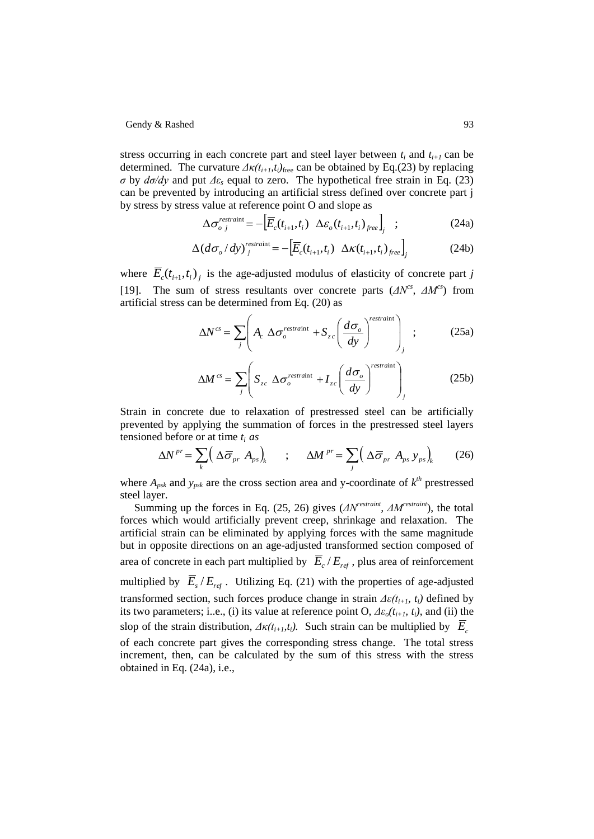stress occurring in each concrete part and steel layer between  $t_i$  and  $t_{i+1}$  can be determined. The curvature  $\Delta \kappa(t_{i+1}, t_i)_{\text{free}}$  can be obtained by Eq.(23) by replacing *σ* by *dσ/dy* and put *Δε<sup>s</sup>* equal to zero. The hypothetical free strain in Eq. (23) can be prevented by introducing an artificial stress defined over concrete part j by stress by stress value at reference point O and slope as

$$
\Delta \sigma_{o\;j}^{\text{restrain}} = -\Big[\overline{E}_c(t_{i+1}, t_i) \ \Delta \varepsilon_o(t_{i+1}, t_i)_{free}\Big]_j \quad ; \tag{24a}
$$

$$
\Delta(d\sigma_o/dy)^{restraint}_{j} = -\left[\overline{E}_c(t_{i+1}, t_i) \ \Delta\kappa(t_{i+1}, t_i)_{free}\right]_{j}
$$
(24b)

where  $\overline{E}_c(t_{i+1}, t_i)$  is the age-adjusted modulus of elasticity of concrete part *j* [19]. The sum of stress resultants over concrete parts  $(\Delta N^{cs}, \Delta M^{cs})$  from artificial stress can be determined from Eq. (20) as

$$
\Delta N^{cs} = \sum_{j} \left( A_c \Delta \sigma_o^{restrain} + S_{zc} \left( \frac{d \sigma_o}{dy} \right)^{restrain} \right)_{j} ; \qquad (25a)
$$

$$
\Delta M^{cs} = \sum_{j} \left( S_{zc} \Delta \sigma_o^{restrain} + I_{zc} \left( \frac{d \sigma_o}{dy} \right)^{restrain} \right)_{j}
$$
(25b)

Strain in concrete due to relaxation of prestressed steel can be artificially prevented by applying the summation of forces in the prestressed steel layers

tensioned before or at time 
$$
t_i
$$
 as  
\n
$$
\Delta N^{pr} = \sum_{k} \left( \Delta \overline{\sigma}_{pr} A_{ps} \right)_{k} \qquad ; \qquad \Delta M^{pr} = \sum_{j} \left( \Delta \overline{\sigma}_{pr} A_{ps} y_{ps} \right)_{k} \qquad (26)
$$

where  $A_{psk}$  and  $y_{psk}$  are the cross section area and y-coordinate of  $k^{th}$  prestressed steel layer.

Summing up the forces in Eq. (25, 26) gives (*ΔNrestraint , ΔMrestraint*), the total forces which would artificially prevent creep, shrinkage and relaxation. The artificial strain can be eliminated by applying forces with the same magnitude but in opposite directions on an age-adjusted transformed section composed of area of concrete in each part multiplied by  $\overline{E}_c / E_{ref}$ , plus area of reinforcement multiplied by  $\overline{E}_s / E_{ref}$ . Utilizing Eq. (21) with the properties of age-adjusted transformed section, such forces produce change in strain  $\Delta\varepsilon(t_{i+1}, t_i)$  defined by its two parameters; i..e., (i) its value at reference point O, *Δεo(ti+1, ti)*, and (ii) the slop of the strain distribution,  $\Delta \kappa(t_{i+1}, t_i)$ . Such strain can be multiplied by  $\overline{E}_c$ of each concrete part gives the corresponding stress change. The total stress increment, then, can be calculated by the sum of this stress with the stress obtained in Eq. (24a), i.e.,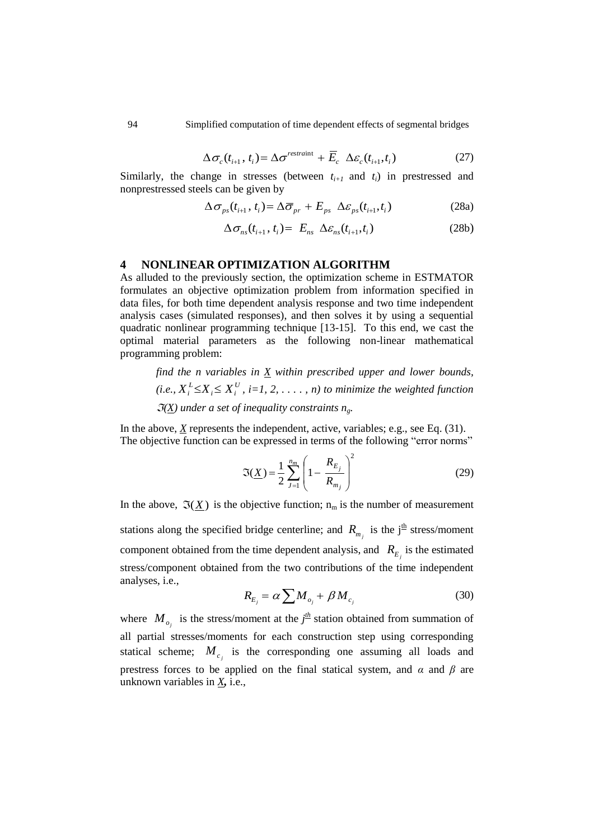$$
\Delta \sigma_c(t_{i+1}, t_i) = \Delta \sigma^{restraint} + \overline{E}_c \ \Delta \varepsilon_c(t_{i+1}, t_i)
$$
 (27)

Similarly, the change in stresses (between  $t_{i+1}$  and  $t_i$ ) in prestressed and nonprestressed steels can be given by

$$
\Delta \sigma_{ps}(t_{i+1}, t_i) = \Delta \overline{\sigma}_{pr} + E_{ps} \ \Delta \varepsilon_{ps}(t_{i+1}, t_i)
$$
 (28a)

$$
\Delta \sigma_{ns}(t_{i+1}, t_i) = E_{ns} \Delta \varepsilon_{ns}(t_{i+1}, t_i)
$$
\n(28b)

#### **4 NONLINEAR OPTIMIZATION ALGORITHM**

As alluded to the previously section, the optimization scheme in ESTMATOR formulates an objective optimization problem from information specified in data files, for both time dependent analysis response and two time independent analysis cases (simulated responses), and then solves it by using a sequential quadratic nonlinear programming technique [13-15]. To this end, we cast the optimal material parameters as the following non-linear mathematical programming problem:

*find the n variables in X within prescribed upper and lower bounds,*   $(i.e., X_i^L \leq X_i \leq X_i^U$  $X_i^L \leq X_i \leq X_i^U$ , *i*=1, 2, ..., *n*) to minimize the weighted function  $\Im(X)$  under a set of inequality constraints  $n_g$ .

In the above,  $\underline{X}$  represents the independent, active, variables; e.g., see Eq. (31). The objective function can be expressed in terms of the following "error norms"

$$
\mathfrak{I}(\underline{X}) = \frac{1}{2} \sum_{j=1}^{n_m} \left( 1 - \frac{R_{E_j}}{R_{m_j}} \right)^2 \tag{29}
$$

In the above,  $\Im(\underline{X})$  is the objective function;  $n_m$  is the number of measurement stations along the specified bridge centerline; and  $R_{m_j}$  is the j<sup>th</sup> stress/moment component obtained from the time dependent analysis, and  $R_{E_j}$  is the estimated stress/component obtained from the two contributions of the time independent analyses, i.e.,

$$
R_{E_j} = \alpha \sum M_{o_j} + \beta M_{c_j} \tag{30}
$$

where  $M_{o_j}$  is the stress/moment at the  $j^{\text{th}}$  station obtained from summation of all partial stresses/moments for each construction step using corresponding statical scheme;  $M_{c_j}$  is the corresponding one assuming all loads and prestress forces to be applied on the final statical system, and  $\alpha$  and  $\beta$  are unknown variables in *X,* i.e.,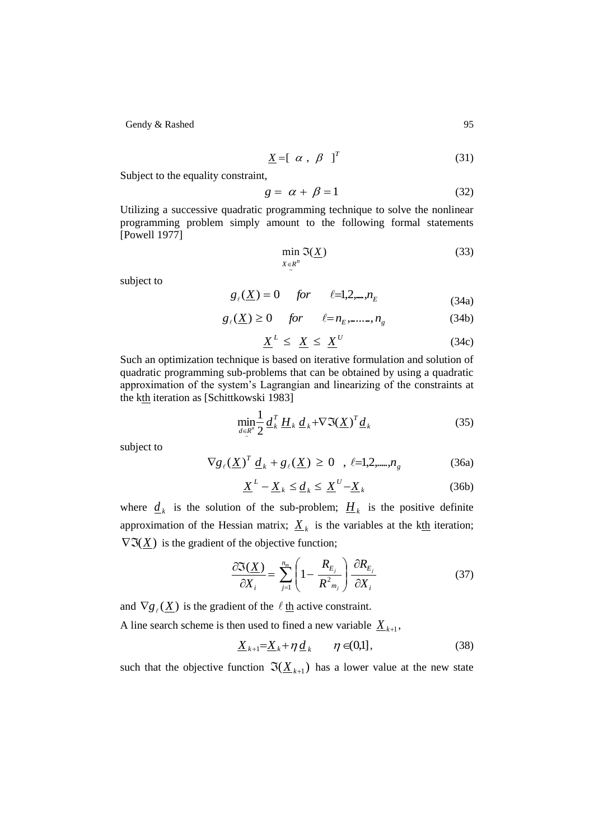$$
\underline{X} = [ \alpha , \beta ]^T
$$
 (31)

Subject to the equality constraint,

$$
g = \alpha + \beta = 1 \tag{32}
$$

Utilizing a successive quadratic programming technique to solve the nonlinear programming problem simply amount to the following formal statements [Powell 1977]

$$
\min_{X \in R^n} \mathfrak{I}(\underline{X})\tag{33}
$$

subject to

$$
g_{\ell}(\underline{X}) = 0 \quad \text{for} \quad \ell = 1, 2, \ldots, n_E \tag{34a}
$$

$$
g_{\ell}(\underline{X}) \ge 0 \quad \text{for} \quad \ell = n_E, \dots, n_g \tag{34b}
$$

$$
\underline{X}^L \leq \underline{X} \leq \underline{X}^U \tag{34c}
$$

Such an optimization technique is based on iterative formulation and solution of quadratic programming sub-problems that can be obtained by using a quadratic approximation of the system"s Lagrangian and linearizing of the constraints at the kth iteration as [Schittkowski 1983]

$$
\min_{d \in \mathcal{R}^n} \frac{1}{2} \underline{d}_k^T \underline{H}_k \underline{d}_k + \nabla \Im(\underline{X})^T \underline{d}_k \tag{35}
$$

subject to

$$
\nabla g_{\ell}(\underline{X})^T \underline{d}_k + g_{\ell}(\underline{X}) \ge 0 \quad , \quad \ell = 1, 2, \dots, n_g \tag{36a}
$$

$$
\underline{X}^{L} - \underline{X}_{k} \le \underline{d}_{k} \le \underline{X}^{U} - \underline{X}_{k}
$$
 (36b)

where  $\underline{d}_k$  is the solution of the sub-problem;  $\underline{H}_k$  is the positive definite approximation of the Hessian matrix;  $\underline{X}_k$  is the variables at the kth iteration;  $\nabla \Im(\underline{X})$  is the gradient of the objective function;

$$
\frac{\partial \mathfrak{I}(\underline{X})}{\partial X_i} = \sum_{j=1}^{n_m} \left( 1 - \frac{R_{E_j}}{R_{m_j}} \right) \frac{\partial R_{E_j}}{\partial X_i}
$$
(37)

and  $\nabla g_{\ell}(\underline{X})$  is the gradient of the  $\ell$  th active constraint.

A line search scheme is then used to fined a new variable  $\underline{X}_{k+1}$ ,

$$
\underline{X}_{k+1} = \underline{X}_k + \eta \, \underline{d}_k \qquad \eta \in (0,1], \tag{38}
$$

such that the objective function  $\Im(\underline{X}_{k+1})$  has a lower value at the new state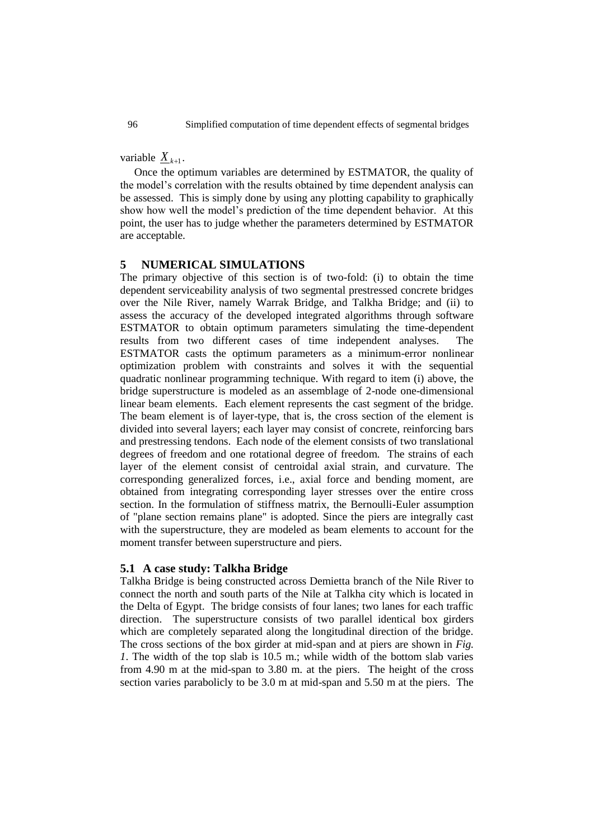variable  $\underline{X}_{k+1}$ .

Once the optimum variables are determined by ESTMATOR, the quality of the model"s correlation with the results obtained by time dependent analysis can be assessed. This is simply done by using any plotting capability to graphically show how well the model"s prediction of the time dependent behavior. At this point, the user has to judge whether the parameters determined by ESTMATOR are acceptable.

# **5 NUMERICAL SIMULATIONS**

The primary objective of this section is of two-fold: (i) to obtain the time dependent serviceability analysis of two segmental prestressed concrete bridges over the Nile River, namely Warrak Bridge, and Talkha Bridge; and (ii) to assess the accuracy of the developed integrated algorithms through software ESTMATOR to obtain optimum parameters simulating the time-dependent results from two different cases of time independent analyses. The ESTMATOR casts the optimum parameters as a minimum-error nonlinear optimization problem with constraints and solves it with the sequential quadratic nonlinear programming technique. With regard to item (i) above, the bridge superstructure is modeled as an assemblage of 2-node one-dimensional linear beam elements. Each element represents the cast segment of the bridge. The beam element is of layer-type, that is, the cross section of the element is divided into several layers; each layer may consist of concrete, reinforcing bars and prestressing tendons. Each node of the element consists of two translational degrees of freedom and one rotational degree of freedom. The strains of each layer of the element consist of centroidal axial strain, and curvature. The corresponding generalized forces, i.e., axial force and bending moment, are obtained from integrating corresponding layer stresses over the entire cross section. In the formulation of stiffness matrix, the Bernoulli-Euler assumption of "plane section remains plane" is adopted. Since the piers are integrally cast with the superstructure, they are modeled as beam elements to account for the moment transfer between superstructure and piers.

# **5.1 A case study: Talkha Bridge**

Talkha Bridge is being constructed across Demietta branch of the Nile River to connect the north and south parts of the Nile at Talkha city which is located in the Delta of Egypt. The bridge consists of four lanes; two lanes for each traffic direction. The superstructure consists of two parallel identical box girders which are completely separated along the longitudinal direction of the bridge. The cross sections of the box girder at mid-span and at piers are shown in *Fig. 1*. The width of the top slab is 10.5 m.; while width of the bottom slab varies from 4.90 m at the mid-span to 3.80 m. at the piers. The height of the cross section varies parabolicly to be 3.0 m at mid-span and 5.50 m at the piers. The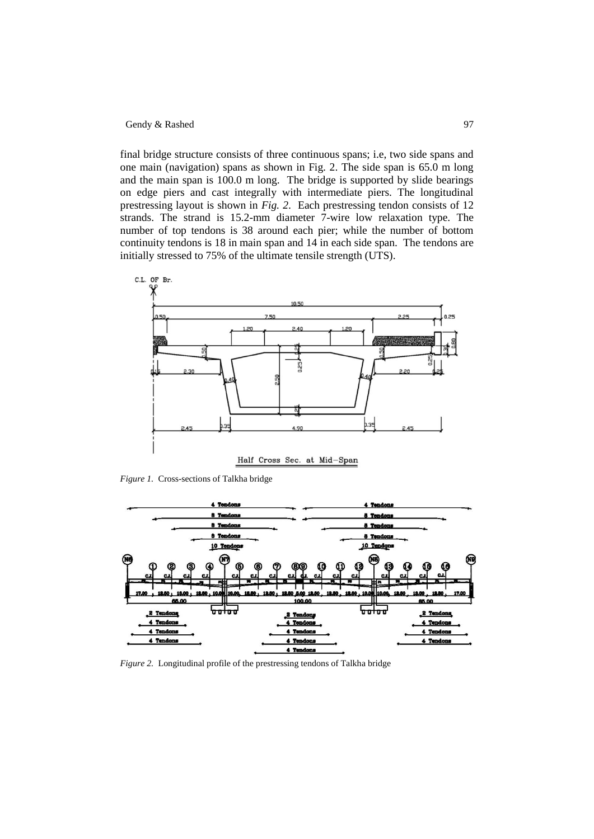final bridge structure consists of three continuous spans; i.e, two side spans and one main (navigation) spans as shown in Fig. 2. The side span is 65.0 m long and the main span is 100.0 m long. The bridge is supported by slide bearings on edge piers and cast integrally with intermediate piers. The longitudinal prestressing layout is shown in *Fig. 2*. Each prestressing tendon consists of 12 strands. The strand is 15.2-mm diameter 7-wire low relaxation type. The number of top tendons is 38 around each pier; while the number of bottom continuity tendons is 18 in main span and 14 in each side span. The tendons are initially stressed to 75% of the ultimate tensile strength (UTS).



*Figure 1.* Cross-sections of Talkha bridge



*Figure 2.* Longitudinal profile of the prestressing tendons of Talkha bridge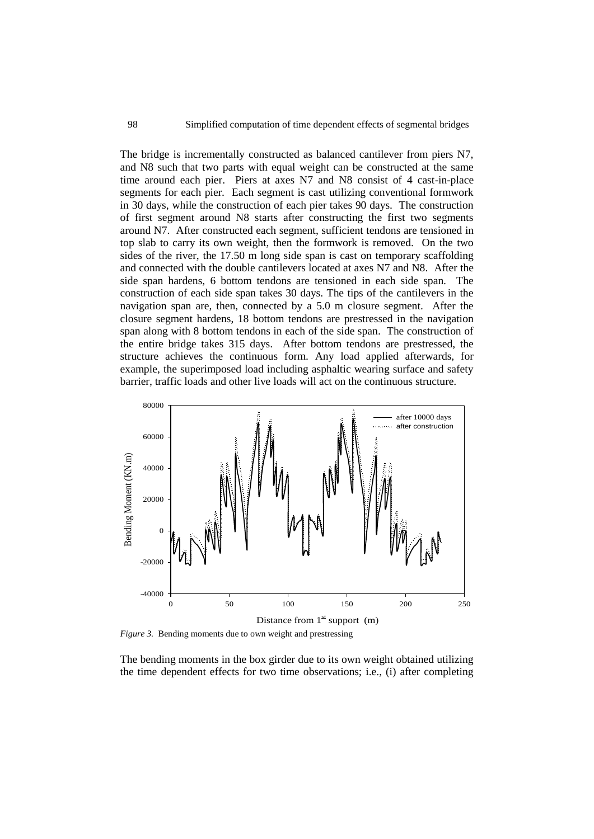The bridge is incrementally constructed as balanced cantilever from piers N7, and N8 such that two parts with equal weight can be constructed at the same time around each pier. Piers at axes N7 and N8 consist of 4 cast-in-place segments for each pier. Each segment is cast utilizing conventional formwork in 30 days, while the construction of each pier takes 90 days. The construction of first segment around N8 starts after constructing the first two segments around N7. After constructed each segment, sufficient tendons are tensioned in top slab to carry its own weight, then the formwork is removed. On the two sides of the river, the 17.50 m long side span is cast on temporary scaffolding and connected with the double cantilevers located at axes N7 and N8. After the side span hardens, 6 bottom tendons are tensioned in each side span. The construction of each side span takes 30 days. The tips of the cantilevers in the navigation span are, then, connected by a 5.0 m closure segment. After the closure segment hardens, 18 bottom tendons are prestressed in the navigation span along with 8 bottom tendons in each of the side span. The construction of the entire bridge takes 315 days. After bottom tendons are prestressed, the structure achieves the continuous form. Any load applied afterwards, for example, the superimposed load including asphaltic wearing surface and safety barrier, traffic loads and other live loads will act on the continuous structure.



*Figure 3.* Bending moments due to own weight and prestressing

The bending moments in the box girder due to its own weight obtained utilizing the time dependent effects for two time observations; i.e., (i) after completing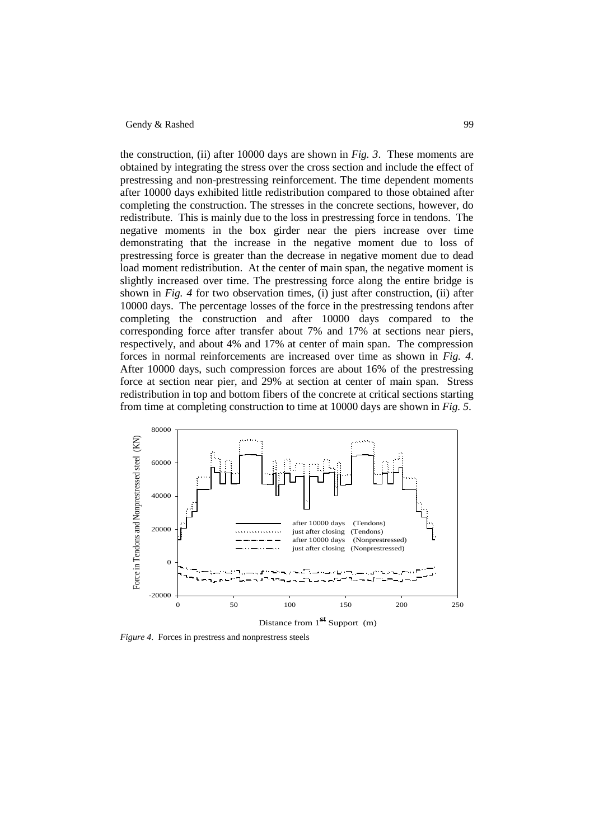the construction, (ii) after 10000 days are shown in *Fig. 3*. These moments are obtained by integrating the stress over the cross section and include the effect of prestressing and non-prestressing reinforcement. The time dependent moments after 10000 days exhibited little redistribution compared to those obtained after completing the construction. The stresses in the concrete sections, however, do redistribute. This is mainly due to the loss in prestressing force in tendons. The negative moments in the box girder near the piers increase over time demonstrating that the increase in the negative moment due to loss of prestressing force is greater than the decrease in negative moment due to dead load moment redistribution. At the center of main span, the negative moment is slightly increased over time. The prestressing force along the entire bridge is shown in *Fig. 4* for two observation times, (i) just after construction, (ii) after 10000 days. The percentage losses of the force in the prestressing tendons after completing the construction and after 10000 days compared to the corresponding force after transfer about 7% and 17% at sections near piers, respectively, and about 4% and 17% at center of main span. The compression forces in normal reinforcements are increased over time as shown in *Fig. 4*. After 10000 days, such compression forces are about 16% of the prestressing force at section near pier, and 29% at section at center of main span. Stress redistribution in top and bottom fibers of the concrete at critical sections starting from time at completing construction to time at 10000 days are shown in *Fig. 5*.



Distance from  $1<sup>st</sup>$  Support (m)

*Figure 4*. Forces in prestress and nonprestress steels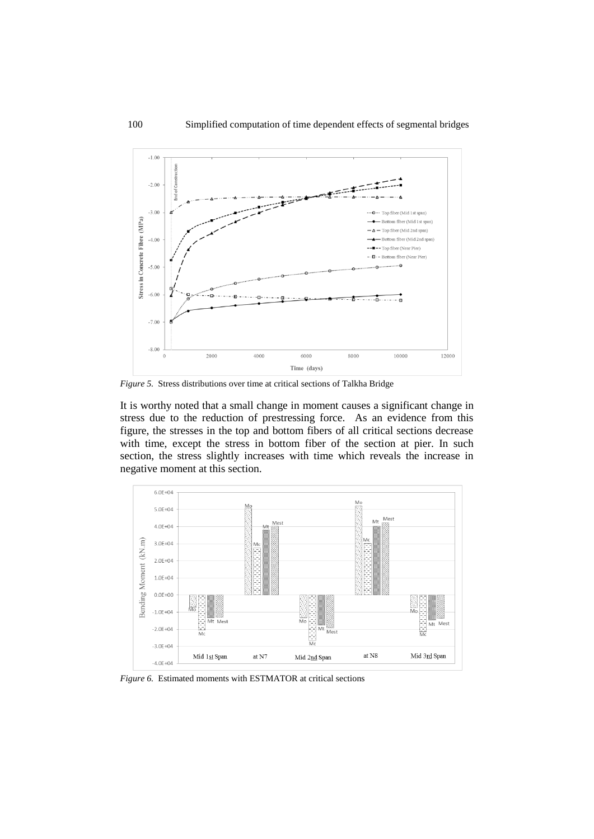

*Figure 5.* Stress distributions over time at critical sections of Talkha Bridge

It is worthy noted that a small change in moment causes a significant change in stress due to the reduction of prestressing force. As an evidence from this figure, the stresses in the top and bottom fibers of all critical sections decrease with time, except the stress in bottom fiber of the section at pier. In such section, the stress slightly increases with time which reveals the increase in negative moment at this section.



*Figure 6.* Estimated moments with ESTMATOR at critical sections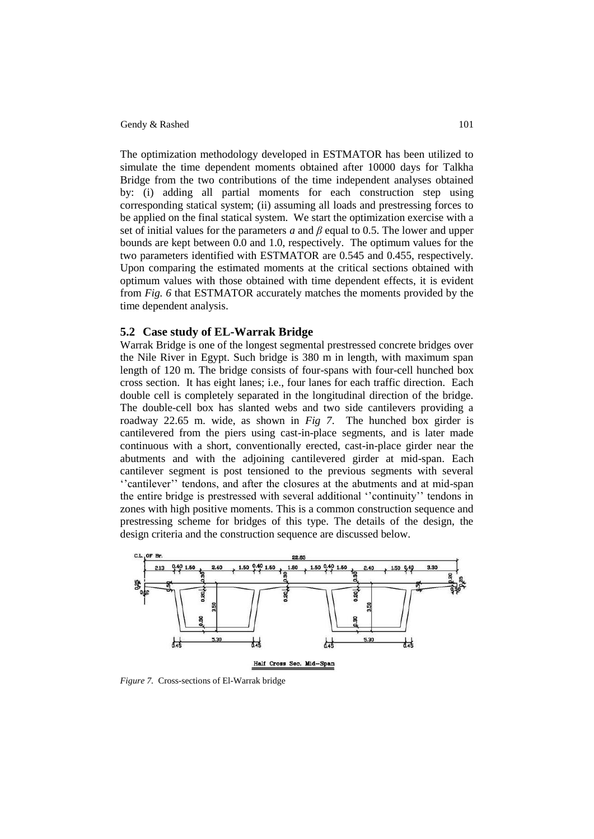The optimization methodology developed in ESTMATOR has been utilized to simulate the time dependent moments obtained after 10000 days for Talkha Bridge from the two contributions of the time independent analyses obtained by: (i) adding all partial moments for each construction step using corresponding statical system; (ii) assuming all loads and prestressing forces to be applied on the final statical system. We start the optimization exercise with a set of initial values for the parameters *a* and *β* equal to 0.5. The lower and upper bounds are kept between 0.0 and 1.0, respectively. The optimum values for the two parameters identified with ESTMATOR are 0.545 and 0.455, respectively. Upon comparing the estimated moments at the critical sections obtained with optimum values with those obtained with time dependent effects, it is evident from *Fig. 6* that ESTMATOR accurately matches the moments provided by the time dependent analysis.

# **5.2 Case study of EL-Warrak Bridge**

Warrak Bridge is one of the longest segmental prestressed concrete bridges over the Nile River in Egypt. Such bridge is 380 m in length, with maximum span length of 120 m. The bridge consists of four-spans with four-cell hunched box cross section. It has eight lanes; i.e., four lanes for each traffic direction. Each double cell is completely separated in the longitudinal direction of the bridge. The double-cell box has slanted webs and two side cantilevers providing a roadway 22.65 m. wide, as shown in *Fig 7*. The hunched box girder is cantilevered from the piers using cast-in-place segments, and is later made continuous with a short, conventionally erected, cast-in-place girder near the abutments and with the adjoining cantilevered girder at mid-span. Each cantilever segment is post tensioned to the previous segments with several ""cantilever"" tendons, and after the closures at the abutments and at mid-span the entire bridge is prestressed with several additional ""continuity"" tendons in zones with high positive moments. This is a common construction sequence and prestressing scheme for bridges of this type. The details of the design, the design criteria and the construction sequence are discussed below.



*Figure 7.* Cross-sections of El-Warrak bridge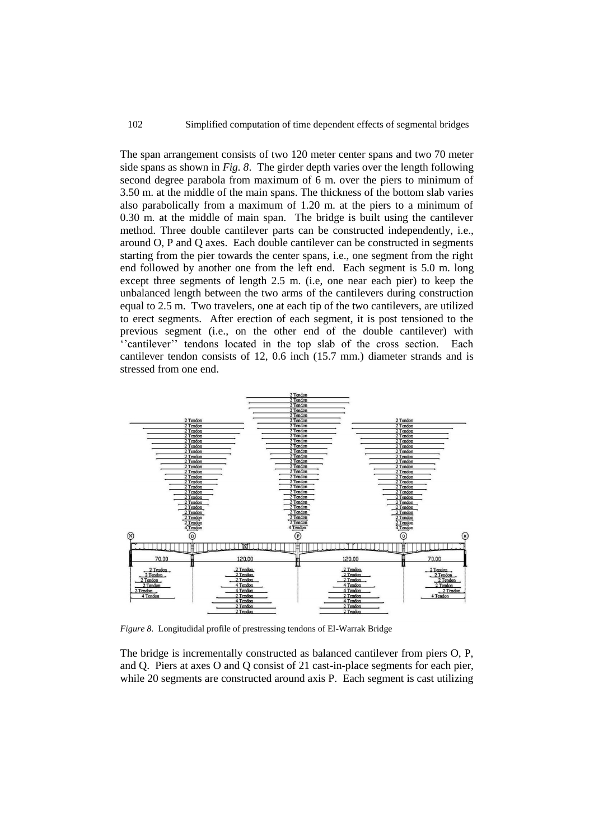The span arrangement consists of two 120 meter center spans and two 70 meter side spans as shown in *Fig. 8*. The girder depth varies over the length following second degree parabola from maximum of 6 m. over the piers to minimum of 3.50 m. at the middle of the main spans. The thickness of the bottom slab varies also parabolically from a maximum of 1.20 m. at the piers to a minimum of 0.30 m. at the middle of main span. The bridge is built using the cantilever method. Three double cantilever parts can be constructed independently, i.e., around O, P and Q axes. Each double cantilever can be constructed in segments starting from the pier towards the center spans, i.e., one segment from the right end followed by another one from the left end. Each segment is 5.0 m. long except three segments of length 2.5 m. (i.e, one near each pier) to keep the unbalanced length between the two arms of the cantilevers during construction equal to 2.5 m. Two travelers, one at each tip of the two cantilevers, are utilized to erect segments. After erection of each segment, it is post tensioned to the previous segment (i.e., on the other end of the double cantilever) with "cantilever" tendons located in the top slab of the cross section. Each cantilever tendon consists of 12, 0.6 inch (15.7 mm.) diameter strands and is stressed from one end.



*Figure 8*. Longitudidal profile of prestressing tendons of El-Warrak Bridge

The bridge is incrementally constructed as balanced cantilever from piers O, P, and Q. Piers at axes O and Q consist of 21 cast-in-place segments for each pier, while 20 segments are constructed around axis P. Each segment is cast utilizing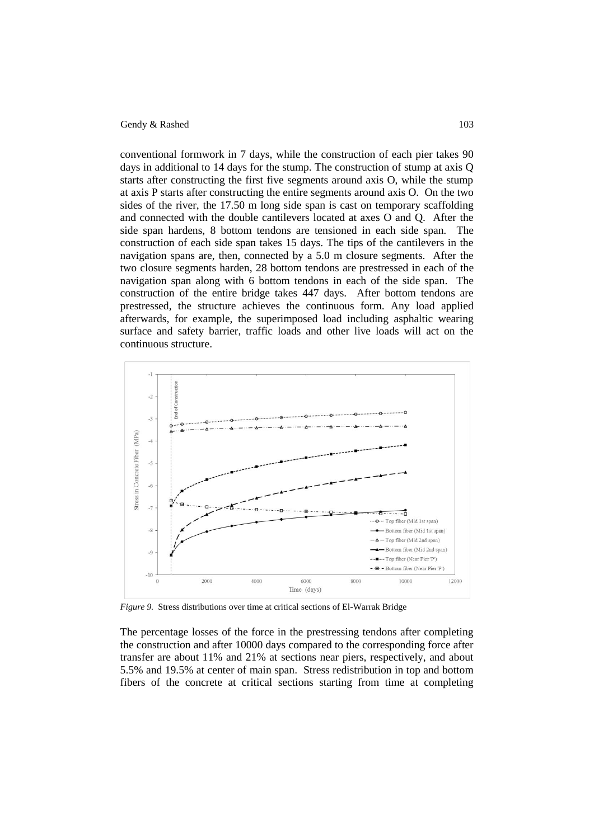conventional formwork in 7 days, while the construction of each pier takes 90 days in additional to 14 days for the stump. The construction of stump at axis Q starts after constructing the first five segments around axis O, while the stump at axis P starts after constructing the entire segments around axis O. On the two sides of the river, the 17.50 m long side span is cast on temporary scaffolding and connected with the double cantilevers located at axes O and Q. After the side span hardens, 8 bottom tendons are tensioned in each side span. The construction of each side span takes 15 days. The tips of the cantilevers in the navigation spans are, then, connected by a 5.0 m closure segments. After the two closure segments harden, 28 bottom tendons are prestressed in each of the navigation span along with 6 bottom tendons in each of the side span. The construction of the entire bridge takes 447 days. After bottom tendons are prestressed, the structure achieves the continuous form. Any load applied afterwards, for example, the superimposed load including asphaltic wearing surface and safety barrier, traffic loads and other live loads will act on the continuous structure.



*Figure 9.* Stress distributions over time at critical sections of El-Warrak Bridge

The percentage losses of the force in the prestressing tendons after completing the construction and after 10000 days compared to the corresponding force after transfer are about 11% and 21% at sections near piers, respectively, and about 5.5% and 19.5% at center of main span. Stress redistribution in top and bottom fibers of the concrete at critical sections starting from time at completing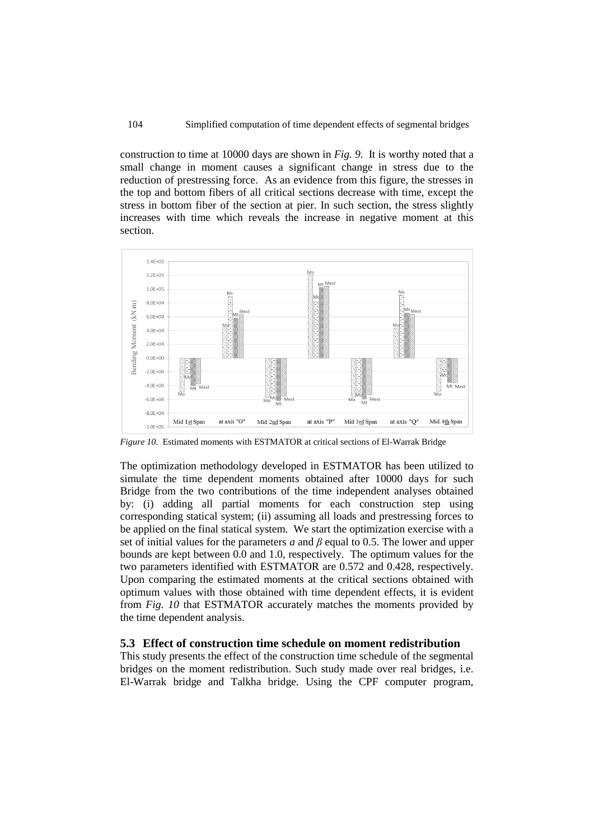construction to time at 10000 days are shown in *Fig. 9*. It is worthy noted that a small change in moment causes a significant change in stress due to the reduction of prestressing force. As an evidence from this figure, the stresses in the top and bottom fibers of all critical sections decrease with time, except the stress in bottom fiber of the section at pier. In such section, the stress slightly increases with time which reveals the increase in negative moment at this section.



*Figure 10.* Estimated moments with ESTMATOR at critical sections of El-Warrak Bridge

The optimization methodology developed in ESTMATOR has been utilized to simulate the time dependent moments obtained after 10000 days for such Bridge from the two contributions of the time independent analyses obtained by: (i) adding all partial moments for each construction step using corresponding statical system; (ii) assuming all loads and prestressing forces to be applied on the final statical system. We start the optimization exercise with a set of initial values for the parameters *a* and *β* equal to 0.5. The lower and upper bounds are kept between 0.0 and 1.0, respectively. The optimum values for the two parameters identified with ESTMATOR are 0.572 and 0.428, respectively. Upon comparing the estimated moments at the critical sections obtained with optimum values with those obtained with time dependent effects, it is evident from *Fig. 10* that ESTMATOR accurately matches the moments provided by the time dependent analysis.

#### **5.3 Effect of construction time schedule on moment redistribution**

This study presents the effect of the construction time schedule of the segmental bridges on the moment redistribution. Such study made over real bridges, i.e. El-Warrak bridge and Talkha bridge. Using the CPF computer program,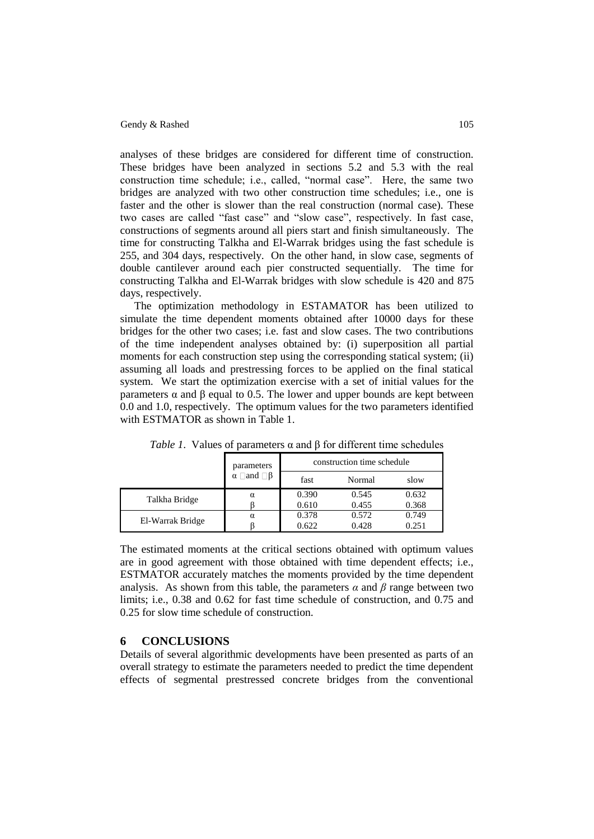analyses of these bridges are considered for different time of construction. These bridges have been analyzed in sections 5.2 and 5.3 with the real construction time schedule; i.e., called, "normal case". Here, the same two bridges are analyzed with two other construction time schedules; i.e., one is faster and the other is slower than the real construction (normal case). These two cases are called "fast case" and "slow case", respectively. In fast case, constructions of segments around all piers start and finish simultaneously. The time for constructing Talkha and El-Warrak bridges using the fast schedule is 255, and 304 days, respectively. On the other hand, in slow case, segments of double cantilever around each pier constructed sequentially. The time for constructing Talkha and El-Warrak bridges with slow schedule is 420 and 875 days, respectively.

The optimization methodology in ESTAMATOR has been utilized to simulate the time dependent moments obtained after 10000 days for these bridges for the other two cases; i.e. fast and slow cases. The two contributions of the time independent analyses obtained by: (i) superposition all partial moments for each construction step using the corresponding statical system; (ii) assuming all loads and prestressing forces to be applied on the final statical system. We start the optimization exercise with a set of initial values for the parameters α and β equal to 0.5. The lower and upper bounds are kept between 0.0 and 1.0, respectively. The optimum values for the two parameters identified with ESTMATOR as shown in Table 1.

|                  | parameters<br>and $\Box$ B<br>α | construction time schedule |        |       |
|------------------|---------------------------------|----------------------------|--------|-------|
|                  |                                 | fast                       | Normal | slow  |
| Talkha Bridge    | α                               | 0.390                      | 0.545  | 0.632 |
|                  |                                 | 0.610                      | 0.455  | 0.368 |
| El-Warrak Bridge | $\alpha$                        | 0.378                      | 0.572  | 0.749 |
|                  |                                 | 0.622                      | 0.428  | 0.251 |

*Table 1*. Values of parameters  $\alpha$  and  $\beta$  for different time schedules

The estimated moments at the critical sections obtained with optimum values are in good agreement with those obtained with time dependent effects; i.e., ESTMATOR accurately matches the moments provided by the time dependent analysis. As shown from this table, the parameters  $\alpha$  and  $\beta$  range between two limits; i.e., 0.38 and 0.62 for fast time schedule of construction, and 0.75 and 0.25 for slow time schedule of construction.

# **6 CONCLUSIONS**

Details of several algorithmic developments have been presented as parts of an overall strategy to estimate the parameters needed to predict the time dependent effects of segmental prestressed concrete bridges from the conventional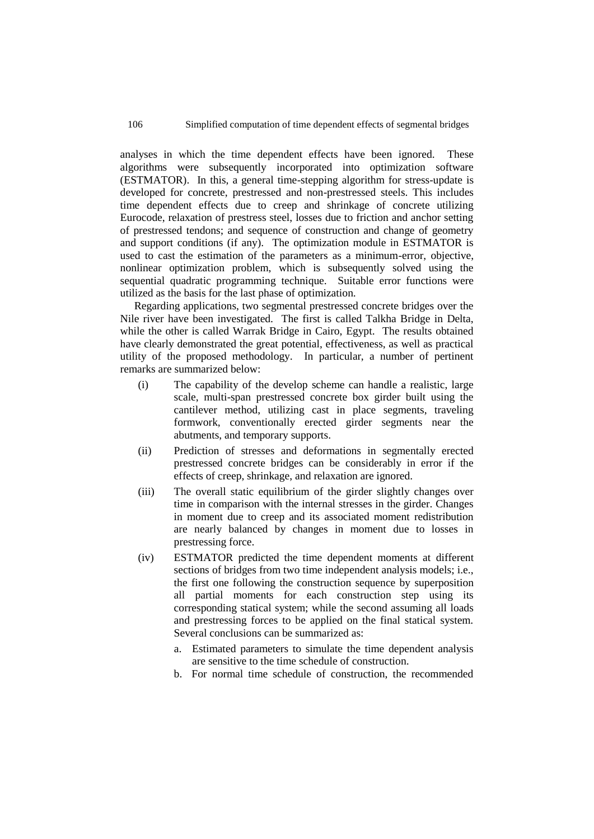analyses in which the time dependent effects have been ignored. These algorithms were subsequently incorporated into optimization software (ESTMATOR). In this, a general time-stepping algorithm for stress-update is developed for concrete, prestressed and non-prestressed steels. This includes time dependent effects due to creep and shrinkage of concrete utilizing Eurocode, relaxation of prestress steel, losses due to friction and anchor setting of prestressed tendons; and sequence of construction and change of geometry and support conditions (if any). The optimization module in ESTMATOR is used to cast the estimation of the parameters as a minimum-error, objective, nonlinear optimization problem, which is subsequently solved using the sequential quadratic programming technique. Suitable error functions were utilized as the basis for the last phase of optimization.

Regarding applications, two segmental prestressed concrete bridges over the Nile river have been investigated. The first is called Talkha Bridge in Delta, while the other is called Warrak Bridge in Cairo, Egypt. The results obtained have clearly demonstrated the great potential, effectiveness, as well as practical utility of the proposed methodology. In particular, a number of pertinent remarks are summarized below:

- (i) The capability of the develop scheme can handle a realistic, large scale, multi-span prestressed concrete box girder built using the cantilever method, utilizing cast in place segments, traveling formwork, conventionally erected girder segments near the abutments, and temporary supports.
- (ii) Prediction of stresses and deformations in segmentally erected prestressed concrete bridges can be considerably in error if the effects of creep, shrinkage, and relaxation are ignored.
- (iii) The overall static equilibrium of the girder slightly changes over time in comparison with the internal stresses in the girder. Changes in moment due to creep and its associated moment redistribution are nearly balanced by changes in moment due to losses in prestressing force.
- (iv) ESTMATOR predicted the time dependent moments at different sections of bridges from two time independent analysis models; i.e., the first one following the construction sequence by superposition all partial moments for each construction step using its corresponding statical system; while the second assuming all loads and prestressing forces to be applied on the final statical system. Several conclusions can be summarized as:
	- a. Estimated parameters to simulate the time dependent analysis are sensitive to the time schedule of construction.
	- b. For normal time schedule of construction, the recommended